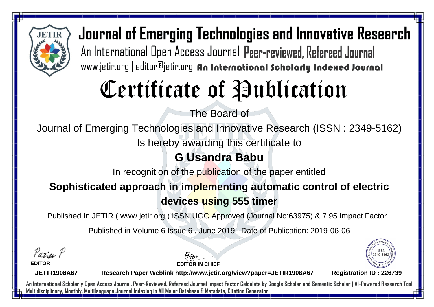

Journal of Emerging Technologies and Innovative Research An International Open Access Journal Peer-reviewed, Refereed Journal www.jetir.org | editor@jetir.org An International Scholarly Indexed Journal

# Certificate of Publication

The Board of

Journal of Emerging Technologies and Innovative Research (ISSN : 2349-5162)

Is hereby awarding this certificate to

#### **G Usandra Babu**

In recognition of the publication of the paper entitled

### **Sophisticated approach in implementing automatic control of electric devices using 555 timer**

Published In JETIR ( www.jetir.org ) ISSN UGC Approved (Journal No: 63975) & 7.95 Impact Factor

Published in Volume 6 Issue 6 , June 2019 | Date of Publication: 2019-06-06

Parin P

**EDITOR**

**EDITOR IN CHIEF**



**JETIR1908A67**

**Research Paper Weblink http://www.jetir.org/view?paper=JETIR1908A67 Registration ID : 226739**

An International Scholarly Open Access Journal, Peer-Reviewed, Refereed Journal Impact Factor Calculate by Google Scholar and Semantic Scholar | Al-Powered Research Tool, Multidisciplinary, Monthly, Multilanguage Journal Indexing in All Major Database & Metadata, Citation Generator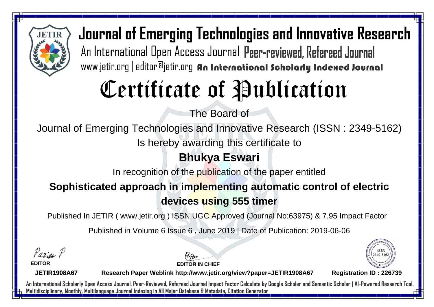

Journal of Emerging Technologies and Innovative Research An International Open Access Journal Peer-reviewed, Refereed Journal www.jetir.org | editor@jetir.org An International Scholarly Indexed Journal

# Certificate of Publication

The Board of

Journal of Emerging Technologies and Innovative Research (ISSN : 2349-5162)

Is hereby awarding this certificate to

### **Bhukya Eswari**

In recognition of the publication of the paper entitled

### **Sophisticated approach in implementing automatic control of electric devices using 555 timer**

Published In JETIR ( www.jetir.org ) ISSN UGC Approved (Journal No: 63975) & 7.95 Impact Factor

Published in Volume 6 Issue 6 , June 2019 | Date of Publication: 2019-06-06

Parin P

**EDITOR**

**EDITOR IN CHIEF**



**JETIR1908A67**

**Research Paper Weblink http://www.jetir.org/view?paper=JETIR1908A67 Registration ID : 226739**

An International Scholarly Open Access Journal, Peer-Reviewed, Refereed Journal Impact Factor Calculate by Google Scholar and Semantic Scholar | Al-Powered Research Tool, Multidisciplinary, Monthly, Multilanguage Journal Indexing in All Major Database & Metadata, Citation Generator